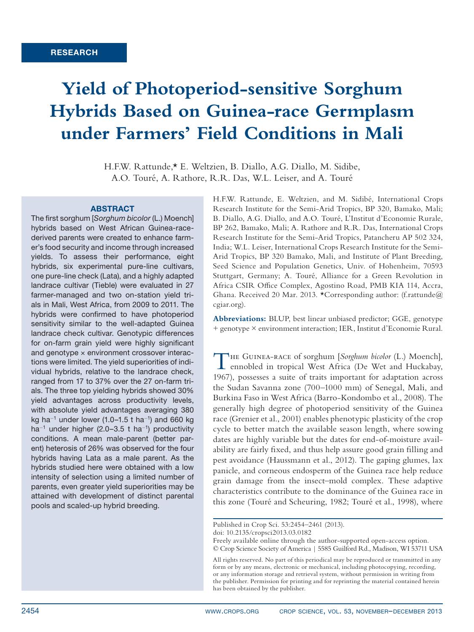# **Yield of Photoperiod-sensitive Sorghum Hybrids Based on Guinea-race Germplasm under Farmers' Field Conditions in Mali**

H.F.W. Rattunde,\* E. Weltzien, B. Diallo, A.G. Diallo, M. Sidibe, A.O. Touré, A. Rathore, R.R. Das, W.L. Leiser, and A. Touré

#### **ABSTRACT**

The first sorghum [*Sorghum bicolor* (L.) Moench] hybrids based on West African Guinea-racederived parents were created to enhance farmer's food security and income through increased yields. To assess their performance, eight hybrids, six experimental pure-line cultivars, one pure-line check (Lata), and a highly adapted landrace cultivar (Tieble) were evaluated in 27 farmer-managed and two on-station yield trials in Mali, West Africa, from 2009 to 2011. The hybrids were confirmed to have photoperiod sensitivity similar to the well-adapted Guinea landrace check cultivar. Genotypic differences for on-farm grain yield were highly significant and genotype  $\times$  environment crossover interactions were limited. The yield superiorities of individual hybrids, relative to the landrace check, ranged from 17 to 37% over the 27 on-farm trials. The three top yielding hybrids showed 30% yield advantages across productivity levels, with absolute yield advantages averaging 380 kg ha<sup>-1</sup> under lower (1.0–1.5 t ha<sup>-1</sup>) and 660 kg ha<sup>-1</sup> under higher (2.0-3.5 t ha<sup>-1</sup>) productivity conditions. A mean male-parent (better parent) heterosis of 26% was observed for the four hybrids having Lata as a male parent. As the hybrids studied here were obtained with a low intensity of selection using a limited number of parents, even greater yield superiorities may be attained with development of distinct parental pools and scaled-up hybrid breeding.

H.F.W. Rattunde, E. Weltzien, and M. Sidibé, International Crops Research Institute for the Semi-Arid Tropics, BP 320, Bamako, Mali; B. Diallo, A.G. Diallo, and A.O. Touré, L'Institut d'Economie Rurale, BP 262, Bamako, Mali; A. Rathore and R.R. Das, International Crops Research Institute for the Semi-Arid Tropics, Patancheru AP 502 324, India; W.L. Leiser, International Crops Research Institute for the Semi-Arid Tropics, BP 320 Bamako, Mali, and Institute of Plant Breeding, Seed Science and Population Genetics, Univ. of Hohenheim, 70593 Stuttgart, Germany; A. Touré, Alliance for a Green Revolution in Africa CSIR Office Complex, Agostino Road, PMB KIA 114, Accra, Ghana. Received 20 Mar. 2013. \*Corresponding author: (f.rattunde@ cgiar.org).

**Abbreviations:** BLUP, best linear unbiased predictor; GGE, genotype + genotype × environment interaction; IER, Institut d'Economie Rural.

THE GUINEA-RACE of sorghum [*Sorghum bicolor* (L.) Moench], ennobled in tropical West Africa (De Wet and Huckabay, 1967), possesses a suite of traits important for adaptation across the Sudan Savanna zone (700–1000 mm) of Senegal, Mali, and Burkina Faso in West Africa (Barro-Kondombo et al., 2008). The generally high degree of photoperiod sensitivity of the Guinea race (Grenier et al., 2001) enables phenotypic plasticity of the crop cycle to better match the available season length, where sowing dates are highly variable but the dates for end-of-moisture availability are fairly fixed, and thus help assure good grain filling and pest avoidance (Haussmann et al., 2012). The gaping glumes, lax panicle, and corneous endosperm of the Guinea race help reduce grain damage from the insect–mold complex. These adaptive characteristics contribute to the dominance of the Guinea race in this zone (Touré and Scheuring, 1982; Touré et al., 1998), where

Published in Crop Sci. 53:2454–2461 (2013).

doi: 10.2135/cropsci2013.03.0182

Freely available online through the author-supported open-access option. © Crop Science Society of America | 5585 Guilford Rd., Madison, WI 53711 USA

All rights reserved. No part of this periodical may be reproduced or transmitted in any form or by any means, electronic or mechanical, including photocopying, recording, or any information storage and retrieval system, without permission in writing from the publisher. Permission for printing and for reprinting the material contained herein has been obtained by the publisher.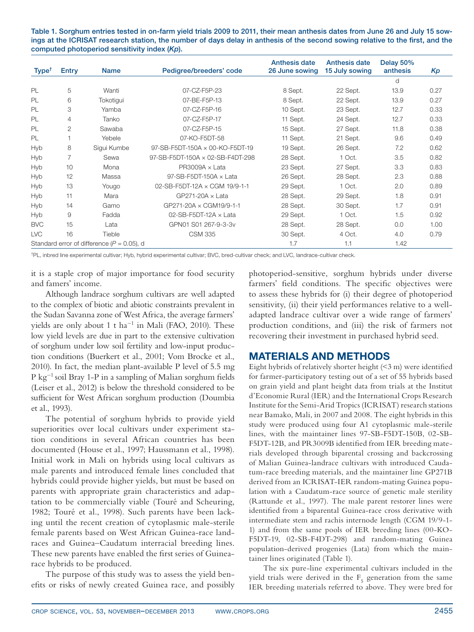Table 1. Sorghum entries tested in on-farm yield trials 2009 to 2011, their mean anthesis dates from June 26 and July 15 sowings at the ICRISAT research station, the number of days delay in anthesis of the second sowing relative to the first, and the computed photoperiod sensitivity index (*Kp*).

| Type <sup>†</sup> | Entry | <b>Name</b>                                    | Pedigree/breeders' code          | <b>Anthesis date</b><br>26 June sowing | <b>Anthesis date</b><br>15 July sowing | Delay 50%<br>anthesis | Kp   |
|-------------------|-------|------------------------------------------------|----------------------------------|----------------------------------------|----------------------------------------|-----------------------|------|
|                   |       |                                                |                                  |                                        |                                        | d                     |      |
| PL                | 5     | Wanti                                          | 07-CZ-F5P-23                     | 8 Sept.                                | 22 Sept.                               | 13.9                  | 0.27 |
|                   |       |                                                |                                  |                                        |                                        |                       |      |
| PL                | 6     | Tokotiqui                                      | 07-BE-F5P-13                     | 8 Sept.                                | 22 Sept.                               | 13.9                  | 0.27 |
| <b>PL</b>         | 3     | Yamba                                          | 07-CZ-F5P-16                     | 10 Sept.                               | 23 Sept.                               | 12.7                  | 0.33 |
| <b>PL</b>         | 4     | Tanko                                          | 07-CZ-F5P-17                     | 11 Sept.                               | 24 Sept.                               | 12.7                  | 0.33 |
| PL                | 2     | Sawaba                                         | 07-CZ-F5P-15                     | 15 Sept.                               | 27 Sept.                               | 11.8                  | 0.38 |
| PL                |       | Yebele                                         | 07-KO-F5DT-58                    | 11 Sept.                               | 21 Sept.                               | 9.6                   | 0.49 |
| <b>Hyb</b>        | 8     | Sigui Kumbe                                    | 97-SB-F5DT-150A × 00-KO-F5DT-19  | 19 Sept.                               | 26 Sept.                               | 7.2                   | 0.62 |
| <b>Hyb</b>        | 7     | Sewa                                           | 97-SB-F5DT-150A × 02-SB-F4DT-298 | 28 Sept.                               | 1 Oct.                                 | 3.5                   | 0.82 |
| <b>Hyb</b>        | 10    | Mona                                           | $PR3009A \times$ Lata            | 23 Sept.                               | 27 Sept.                               | 3.3                   | 0.83 |
| <b>Hyb</b>        | 12    | Massa                                          | 97-SB-F5DT-150A $\times$ Lata    | 26 Sept.                               | 28 Sept.                               | 2.3                   | 0.88 |
| <b>Hyb</b>        | 13    | Yougo                                          | 02-SB-F5DT-12A × CGM 19/9-1-1    | 29 Sept.                               | 1 Oct.                                 | 2.0                   | 0.89 |
| <b>Hyb</b>        | 11    | Mara                                           | $GP271-20A \times \text{Lata}$   | 28 Sept.                               | 29 Sept.                               | 1.8                   | 0.91 |
| <b>Hyb</b>        | 14    | Gamo                                           | GP271-20A × CGM19/9-1-1          | 28 Sept.                               | 30 Sept.                               | 1.7                   | 0.91 |
| Hyb               | 9     | Fadda                                          | 02-SB-F5DT-12A $\times$ Lata     | 29 Sept.                               | 1 Oct.                                 | 1.5                   | 0.92 |
| <b>BVC</b>        | 15    | Lata                                           | GPN01 S01 267-9-3-3v             | 28 Sept.                               | 28 Sept.                               | 0.0                   | 1.00 |
| <b>LVC</b>        | 16    | Tieble                                         | <b>CSM 335</b>                   | 30 Sept.                               | 4 Oct.                                 | 4.0                   | 0.79 |
|                   |       | Standard error of difference ( $P = 0.05$ ), d |                                  | 1.7                                    | 1.1                                    | 1.42                  |      |

†PL, inbred line experimental cultivar; Hyb, hybrid experimental cultivar; BVC, bred-cultivar check; and LVC, landrace-cultivar check.

it is a staple crop of major importance for food security and famers' income.

Although landrace sorghum cultivars are well adapted to the complex of biotic and abiotic constraints prevalent in the Sudan Savanna zone of West Africa, the average farmers' yields are only about  $1$  t ha<sup>-1</sup> in Mali (FAO, 2010). These low yield levels are due in part to the extensive cultivation of sorghum under low soil fertility and low-input production conditions (Buerkert et al., 2001; Vom Brocke et al., 2010). In fact, the median plant-available P level of 5.5 mg P kg-1 soil Bray 1-P in a sampling of Malian sorghum fields (Leiser et al., 2012) is below the threshold considered to be sufficient for West African sorghum production (Doumbia et al., 1993).

The potential of sorghum hybrids to provide yield superiorities over local cultivars under experiment station conditions in several African countries has been documented (House et al., 1997; Haussmann et al., 1998). Initial work in Mali on hybrids using local cultivars as male parents and introduced female lines concluded that hybrids could provide higher yields, but must be based on parents with appropriate grain characteristics and adaptation to be commercially viable (Touré and Scheuring, 1982; Touré et al., 1998). Such parents have been lacking until the recent creation of cytoplasmic male-sterile female parents based on West African Guinea-race landraces and Guinea–Caudatum interracial breeding lines. These new parents have enabled the first series of Guinearace hybrids to be produced.

The purpose of this study was to assess the yield benefits or risks of newly created Guinea race, and possibly photoperiod-sensitive, sorghum hybrids under diverse farmers' field conditions. The specific objectives were to assess these hybrids for (i) their degree of photoperiod sensitivity, (ii) their yield performances relative to a welladapted landrace cultivar over a wide range of farmers' production conditions, and (iii) the risk of farmers not recovering their investment in purchased hybrid seed.

# Materials and MethodS

Eight hybrids of relatively shorter height (<3 m) were identified for farmer-participatory testing out of a set of 55 hybrids based on grain yield and plant height data from trials at the Institut d'Economie Rural (IER) and the International Crops Research Institute for the Semi-Arid Tropics (ICRISAT) research stations near Bamako, Mali, in 2007 and 2008. The eight hybrids in this study were produced using four A1 cytoplasmic male-sterile lines, with the maintainer lines 97-SB-F5DT-150B, 02-SB-F5DT-12B, and PR3009B identified from IER breeding materials developed through biparental crossing and backcrossing of Malian Guinea-landrace cultivars with introduced Caudatum-race breeding materials, and the maintainer line GP271B derived from an ICRISAT-IER random-mating Guinea population with a Caudatum-race source of genetic male sterility (Rattunde et al., 1997). The male parent restorer lines were identified from a biparental Guinea-race cross derivative with intermediate stem and rachis internode length (CGM 19/9-1- 1) and from the same pools of IER breeding lines (00-KO-F5DT-19, 02-SB-F4DT-298) and random-mating Guinea population-derived progenies (Lata) from which the maintainer lines originated (Table 1).

The six pure-line experimental cultivars included in the yield trials were derived in the  $F_5$  generation from the same IER breeding materials referred to above. They were bred for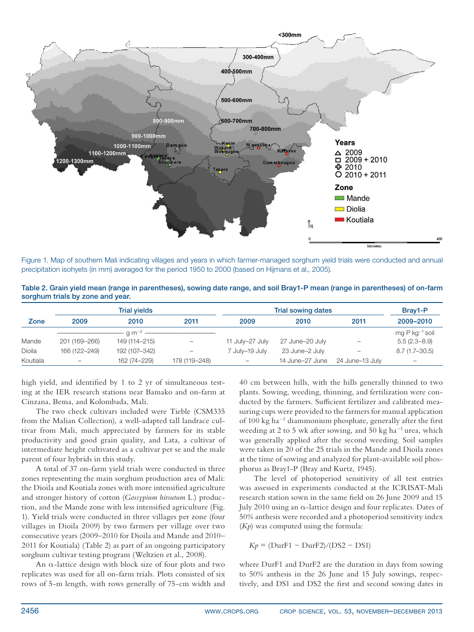

Figure 1. Map of southern Mali indicating villages and years in which farmer-managed sorghum yield trials were conducted and annual precipitation isohyets (in mm) averaged for the period 1950 to 2000 (based on Hijmans et al., 2005).

| Table 2. Grain yield mean (range in parentheses), sowing date range, and soil Bray1-P mean (range in parentheses) of on-farm |  |  |
|------------------------------------------------------------------------------------------------------------------------------|--|--|
| sorghum trials by zone and year.                                                                                             |  |  |

|          |                   | <b>Trial vields</b>         |                   | Trial sowing dates       | Bray1-P         |                   |                     |
|----------|-------------------|-----------------------------|-------------------|--------------------------|-----------------|-------------------|---------------------|
| Zone     | 2009              | 2010                        | 2011              | 2009                     | 2010            | 2011              | 2009-2010           |
|          |                   | $\cdot$ q m <sup>-2</sup> - |                   |                          |                 |                   | mg P $kg^{-1}$ soil |
| Mande    | 201 (169-266)     | 149 (114-215)               | $\qquad \qquad -$ | 11 July-27 July          | 27 June-20 July | $\qquad \qquad -$ | $5.5(2.3 - 8.9)$    |
| Dioila   | 166 (122-249)     | 192 (107-342)               | $\qquad \qquad -$ | 7 July-19 July           | 23 June-2 July  | $\qquad \qquad -$ | $8.7(1.7 - 30.5)$   |
| Koutiala | $\qquad \qquad -$ | 162 (74-229)                | 178 (119-248)     | $\overline{\phantom{0}}$ | 14 June-27 June | 24 June–13 July   | $\qquad \qquad$     |

high yield, and identified by 1 to 2 yr of simultaneous testing at the IER research stations near Bamako and on-farm at Cinzana, Bema, and Kolombada, Mali.

The two check cultivars included were Tieble (CSM335 from the Malian Collection), a well-adapted tall landrace cultivar from Mali, much appreciated by farmers for its stable productivity and good grain quality, and Lata, a cultivar of intermediate height cultivated as a cultivar per se and the male parent of four hybrids in this study.

A total of 37 on-farm yield trials were conducted in three zones representing the main sorghum production area of Mali: the Dioila and Koutiala zones with more intensified agriculture and stronger history of cotton (*Gossypium hirsutum* L.) production, and the Mande zone with less intensified agriculture (Fig. 1). Yield trials were conducted in three villages per zone (four villages in Dioila 2009) by two farmers per village over two consecutive years (2009–2010 for Dioila and Mande and 2010– 2011 for Koutiala) (Table 2) as part of an ongoing participatory sorghum cultivar testing program (Weltzien et al., 2008).

An  $\alpha$ -lattice design with block size of four plots and two replicates was used for all on-farm trials. Plots consisted of six rows of 5-m length, with rows generally of 75-cm width and

40 cm between hills, with the hills generally thinned to two plants. Sowing, weeding, thinning, and fertilization were conducted by the farmers. Sufficient fertilizer and calibrated measuring cups were provided to the farmers for manual application of 100 kg ha<sup>-1</sup> diammonium phosphate, generally after the first weeding at 2 to 5 wk after sowing, and 50 kg ha<sup>-1</sup> urea, which was generally applied after the second weeding. Soil samples were taken in 20 of the 25 trials in the Mande and Dioila zones at the time of sowing and analyzed for plant-available soil phosphorus as Bray1-P (Bray and Kurtz, 1945).

The level of photoperiod sensitivity of all test entries was assessed in experiments conducted at the ICRISAT-Mali research station sown in the same field on 26 June 2009 and 15 July 2010 using an  $\alpha$ -lattice design and four replicates. Dates of 50% anthesis were recorded and a photoperiod sensitivity index (*Kp*) was computed using the formula:

 $Kp = (DurF1 - DurF2)/(DS2 - DS1)$ 

where DurF1 and DurF2 are the duration in days from sowing to 50% anthesis in the 26 June and 15 July sowings, respectively, and DS1 and DS2 the first and second sowing dates in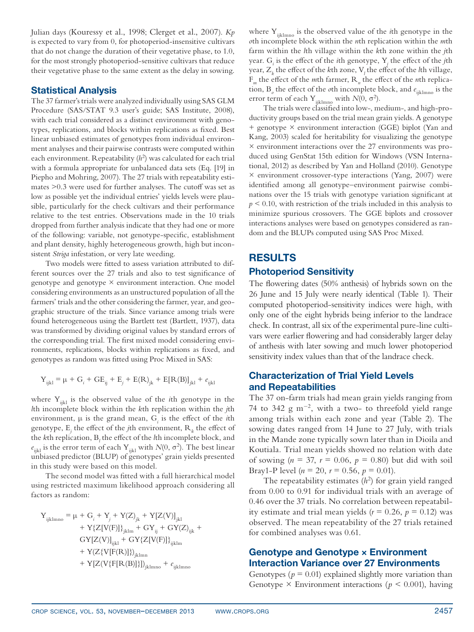Julian days (Kouressy et al., 1998; Clerget et al., 2007). *Kp*  is expected to vary from 0, for photoperiod-insensitive cultivars that do not change the duration of their vegetative phase, to 1.0, for the most strongly photoperiod-sensitive cultivars that reduce their vegetative phase to the same extent as the delay in sowing.

#### Statistical Analysis

The 37 farmer's trials were analyzed individually using SAS GLM Procedure (SAS/STAT 9.3 user's guide; SAS Institute, 2008), with each trial considered as a distinct environment with genotypes, replications, and blocks within replications as fixed. Best linear unbiased estimates of genotypes from individual environment analyses and their pairwise contrasts were computed within each environment. Repeatability  $(h^2)$  was calculated for each trial with a formula appropriate for unbalanced data sets (Eq. [19] in Piepho and Mohring, 2007). The 27 trials with repeatability estimates >0.3 were used for further analyses. The cutoff was set as low as possible yet the individual entries' yields levels were plausible, particularly for the check cultivars and their performance relative to the test entries. Observations made in the 10 trials dropped from further analysis indicate that they had one or more of the following: variable, not genotype-specific, establishment and plant density, highly heterogeneous growth, high but inconsistent *Striga* infestation, or very late weeding.

Two models were fitted to assess variation attributed to different sources over the 27 trials and also to test significance of genotype and genotype  $\times$  environment interaction. One model considering environments as an unstructured population of all the farmers' trials and the other considering the farmer, year, and geographic structure of the trials. Since variance among trials were found heterogeneous using the Bartlett test (Bartlett, 1937), data was transformed by dividing original values by standard errors of the corresponding trial. The first mixed model considering environments, replications, blocks within replications as fixed, and genotypes as random was fitted using Proc Mixed in SAS:

$$
Y_{ijkl} = \mu + G_i + G_{ij} + E_{j} + E(R)_{jk} + E[R(B)]_{jkl} + e_{ijkl}
$$

where Y<sub>ijkl</sub> is the observed value of the *i*th genotype in the *l*th incomplete block within the *k*th replication within the *j*th environment,  $\mu$  is the grand mean,  $G_i$  is the effect of the *i*th genotype,  $E_j$  the effect of the *j*th environment,  $R_k$  the effect of the *k*th replication,  $B_l$  the effect of the *l*th incomplete block, and  $e_{ijkl}$  is the error term of each Y<sub>ijkl</sub> with *N*(0,  $\sigma^2$ ). The best linear unbiased predictor (BLUP) of genotypes' grain yields presented in this study were based on this model.

The second model was fitted with a full hierarchical model using restricted maximum likelihood approach considering all factors as random:

$$
Y_{ijklmno} = \mu + G_{i} + Y_{j} + Y(Z)_{jk} + Y[Z(V)]_{jkl} + Y\{Z[V(F)]\}_{jklm} + GY_{ij} + GY(Z)_{ijk} +GY[Z(V)]_{ijkl} + GY\{Z[V(F)]\}_{ijklm} + Y(Z\{V[F(R)]\})_{jklmn} + Y[Z(V\{F[R(B)]\})_{jklmn} + e_{ijklmno}
$$

where Y<sub>iiklmno</sub> is the observed value of the *i*th genotype in the *o*th incomplete block within the *n*th replication within the *m*th farm within the *l*th village within the *k*th zone within the *j*th year. G*<sup>i</sup>* is the effect of the *i*th genotype, Y*<sup>j</sup>* the effect of the *j*th year,  $Z_k$  the effect of the *k*th zone,  $V_l$  the effect of the *l*th village, F*m* the effect of the *m*th farmer, R*<sup>n</sup>* the effect of the *n*th replication, B*<sup>o</sup>* the effect of the *o*th incomplete block, and *e*ijklmno is the error term of each Y<sub>ijklmno</sub> with  $N(0, \sigma^2)$ .

The trials were classified into low-, medium-, and high-productivity groups based on the trial mean grain yields. A genotype + genotype × environment interaction (GGE) biplot (Yan and Kang, 2003) scaled for heritability for visualizing the genotype × environment interactions over the 27 environments was produced using GenStat 15th edition for Windows (VSN International, 2012) as described by Yan and Holland (2010). Genotype × environment crossover-type interactions (Yang, 2007) were identified among all genotype–environment pairwise combinations over the 15 trials with genotype variation significant at  $p \leq 0.10$ , with restriction of the trials included in this analysis to minimize spurious crossovers. The GGE biplots and crossover interactions analyses were based on genotypes considered as random and the BLUPs computed using SAS Proc Mixed.

# **RESULTS**

## Photoperiod Sensitivity

The flowering dates (50% anthesis) of hybrids sown on the 26 June and 15 July were nearly identical (Table 1). Their computed photoperiod-sensitivity indices were high, with only one of the eight hybrids being inferior to the landrace check. In contrast, all six of the experimental pure-line cultivars were earlier flowering and had considerably larger delay of anthesis with later sowing and much lower photoperiod sensitivity index values than that of the landrace check.

### Characterization of Trial Yield Levels and Repeatabilities

The 37 on-farm trials had mean grain yields ranging from 74 to 342  $g$  m<sup>-2</sup>, with a two- to threefold yield range among trials within each zone and year (Table 2). The sowing dates ranged from 14 June to 27 July, with trials in the Mande zone typically sown later than in Dioila and Koutiala. Trial mean yields showed no relation with date of sowing ( $n = 37$ ,  $r = 0.06$ ,  $p = 0.80$ ) but did with soil Bray1-P level ( $n = 20$ ,  $r = 0.56$ ,  $p = 0.01$ ).

The repeatability estimates  $(h^2)$  for grain yield ranged from 0.00 to 0.91 for individual trials with an average of 0.46 over the 37 trials. No correlation between repeatability estimate and trial mean yields ( $r = 0.26$ ,  $p = 0.12$ ) was observed. The mean repeatability of the 27 trials retained for combined analyses was 0.61.

### Genotype and Genotype × Environment Interaction Variance over 27 Environments

Genotypes ( $p = 0.01$ ) explained slightly more variation than Genotype  $\times$  Environment interactions ( $p < 0.001$ ), having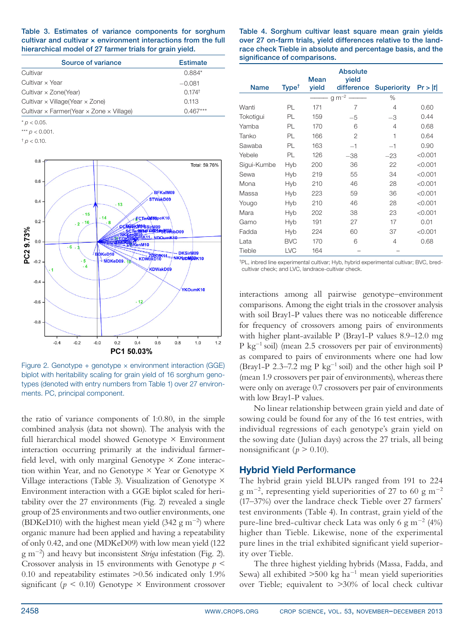|  |  | Table 3. Estimates of variance components for sorghum                 |  |
|--|--|-----------------------------------------------------------------------|--|
|  |  | cultivar and cultivar $\times$ environment interactions from the full |  |
|  |  | hierarchical model of 27 farmer trials for grain yield.               |  |

| Source of variance                                            | <b>Estimate</b>      |
|---------------------------------------------------------------|----------------------|
| Cultivar                                                      | $0.884*$             |
| Cultivar x Year                                               | $-0.081$             |
| Cultivar $\times$ Zone(Year)                                  | $0.174$ <sup>†</sup> |
| Cultivar $\times$ Village (Year $\times$ Zone)                | 0.113                |
| Cultivar $\times$ Farmer(Year $\times$ Zone $\times$ Village) | $(1.467***)$         |

 $* p < 0.05$ .

\*\*\* *p* < 0.001.

 $<sub>†</sub> p < 0.10$ .</sub>



Figure 2. Genotype + genotype  $\times$  environment interaction (GGE) biplot with heritability scaling for grain yield of 16 sorghum genotypes (denoted with entry numbers from Table 1) over 27 environments. PC, principal component.

the ratio of variance components of 1:0.80, in the simple combined analysis (data not shown). The analysis with the full hierarchical model showed Genotype × Environment interaction occurring primarily at the individual farmerfield level, with only marginal Genotype  $\times$  Zone interaction within Year, and no Genotype  $\times$  Year or Genotype  $\times$ Village interactions (Table 3). Visualization of Genotype  $\times$ Environment interaction with a GGE biplot scaled for heritability over the 27 environments (Fig. 2) revealed a single group of 25 environments and two outlier environments, one (BDKeD10) with the highest mean yield  $(342 g m^{-2})$  where organic manure had been applied and having a repeatability of only 0.42, and one (MDKeD09) with low mean yield (122 g m-<sup>2</sup> ) and heavy but inconsistent *Striga* infestation (Fig. 2). Crossover analysis in 15 environments with Genotype *p* < 0.10 and repeatability estimates >0.56 indicated only 1.9% significant ( $p \le 0.10$ ) Genotype  $\times$  Environment crossover

Table 4. Sorghum cultivar least square mean grain yields over 27 on-farm trials, yield differences relative to the landrace check Tieble in absolute and percentage basis, and the significance of comparisons.

|             |                   | <b>Mean</b> | <b>Absolute</b><br>vield |                    |         |
|-------------|-------------------|-------------|--------------------------|--------------------|---------|
| <b>Name</b> | Type <sup>t</sup> | vield       | difference               | <b>Superiority</b> | Pr >  t |
|             |                   |             | $g m^{-2}$               | %                  |         |
| Wanti       | PL                | 171         | 7                        | 4                  | 0.60    |
| Tokotigui   | PL                | 159         | $-5$                     | $-3$               | 0.44    |
| Yamba       | PL                | 170         | 6                        | 4                  | 0.68    |
| Tanko       | PL                | 166         | $\overline{2}$           | 1                  | 0.64    |
| Sawaba      | PL                | 163         | $-1$                     | $-1$               | 0.90    |
| Yebele      | PL                | 126         | $-38$                    | $-23$              | < 0.001 |
| Sigui-Kumbe | Hyb               | 200         | 36                       | 22                 | < 0.001 |
| Sewa        | Hyb               | 219         | 55                       | 34                 | < 0.001 |
| Mona        | Hyb               | 210         | 46                       | 28                 | < 0.001 |
| Massa       | <b>Hyb</b>        | 223         | 59                       | 36                 | < 0.001 |
| Yougo       | Hyb               | 210         | 46                       | 28                 | < 0.001 |
| Mara        | Hyb               | 202         | 38                       | 23                 | < 0.001 |
| Gamo        | Hyb               | 191         | 27                       | 17                 | 0.01    |
| Fadda       | <b>Hyb</b>        | 224         | 60                       | 37                 | < 0.001 |
| Lata        | <b>BVC</b>        | 170         | 6                        | 4                  | 0.68    |
| Tieble      | LVC               | 164         |                          |                    |         |

†PL, inbred line experimental cultivar; Hyb, hybrid experimental cultivar; BVC, bredcultivar check; and LVC, landrace-cultivar check.

interactions among all pairwise genotype–environment comparisons. Among the eight trials in the crossover analysis with soil Bray1-P values there was no noticeable difference for frequency of crossovers among pairs of environments with higher plant-available P (Bray1-P values 8.9–12.0 mg  $P \text{ kg}^{-1}$  soil) (mean 2.5 crossovers per pair of environments) as compared to pairs of environments where one had low (Bray1-P 2.3–7.2 mg P  $kg^{-1}$  soil) and the other high soil P (mean 1.9 crossovers per pair of environments), whereas there were only on average 0.7 crossovers per pair of environments with low Bray1-P values.

No linear relationship between grain yield and date of sowing could be found for any of the 16 test entries, with individual regressions of each genotype's grain yield on the sowing date (Julian days) across the 27 trials, all being nonsignificant ( $p > 0.10$ ).

#### Hybrid Yield Performance

The hybrid grain yield BLUPs ranged from 191 to 224  $g \text{ m}^{-2}$ , representing yield superiorities of 27 to 60 g m<sup>-2</sup> (17–37%) over the landrace check Tieble over 27 farmers' test environments (Table 4). In contrast, grain yield of the pure-line bred-cultivar check Lata was only 6  $\rm g~m^{-2}$  (4%) higher than Tieble. Likewise, none of the experimental pure lines in the trial exhibited significant yield superiority over Tieble.

The three highest yielding hybrids (Massa, Fadda, and Sewa) all exhibited  $>500$  kg ha<sup>-1</sup> mean yield superiorities over Tieble; equivalent to >30% of local check cultivar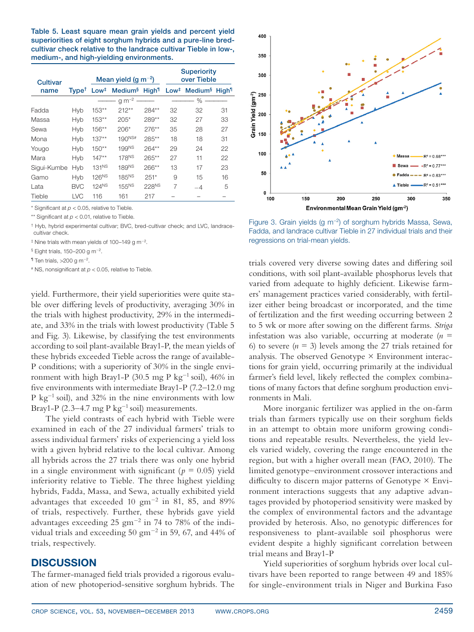Table 5. Least square mean grain yields and percent yield superiorities of eight sorghum hybrids and a pure-line bredcultivar check relative to the landrace cultivar Tieble in low-, medium-, and high-yielding environments.

| <b>Cultivar</b> |                                          |                   | Mean yield (g m <sup>-2</sup> )        |                   | <b>Superiority</b><br>over Tieble |                                                         |    |  |
|-----------------|------------------------------------------|-------------------|----------------------------------------|-------------------|-----------------------------------|---------------------------------------------------------|----|--|
| name            | $T$ vpe <sup><math>\uparrow</math></sup> | Low <sup>‡</sup>  | Medium <sup>§</sup> High <sup>11</sup> |                   |                                   | Low <sup>#</sup> Medium <sup>§</sup> High <sup>11</sup> |    |  |
|                 |                                          |                   | $g m^{-2}$                             |                   |                                   | $\%$                                                    |    |  |
| Fadda           | Hyb                                      | $153**$           | $212**$                                | $284**$           | 32                                | 32                                                      | 31 |  |
| Massa           | Hyb                                      | $153**$           | $205*$                                 | 289**             | 32                                | 27                                                      | 33 |  |
| Sewa            | Hyb                                      | $156**$           | $206*$                                 | $276***$          | 35                                | 28                                                      | 27 |  |
| Mona            | Hyb                                      | $137**$           | 190NS#                                 | $285**$           | 18                                | 18                                                      | 31 |  |
| Yougo           | Hyb                                      | $150**$           | 199NS                                  | $264**$           | 29                                | 24                                                      | 22 |  |
| Mara            | Hyb                                      | $147**$           | 178 <sup>NS</sup>                      | $265**$           | 27                                | 11                                                      | 22 |  |
| Sigui-Kumbe     | Hyb                                      | 131 <sup>NS</sup> | 189NS                                  | $266**$           | 13                                | 17                                                      | 23 |  |
| Gamo            | Hyb                                      | 126 <sup>NS</sup> | 185 <sup>NS</sup>                      | $251*$            | 9                                 | 15                                                      | 16 |  |
| Lata            | <b>BVC</b>                               | 124 <sup>NS</sup> | 155 <sup>NS</sup>                      | 228 <sup>NS</sup> | 7                                 | -4                                                      | 5  |  |
| Tieble          | LVC                                      | 116               | 161                                    | 217               |                                   |                                                         |    |  |

 $*$  Significant at  $p < 0.05$ , relative to Tieble.

\*\* Significant at  $p < 0.01$ , relative to Tieble.

† Hyb, hybrid experimental cultivar; BVC, bred-cultivar check; and LVC, landracecultivar check.

‡ Nine trials with mean yields of 100–149 g m-2.

 $$$  Eight trials, 150–200 g m<sup>-2</sup>.

 $\textsf{I}$  Ten trials, >200 g m<sup>-2</sup>.

 $*$  NS, nonsignificant at  $p < 0.05$ , relative to Tieble.

yield. Furthermore, their yield superiorities were quite stable over differing levels of productivity, averaging 30% in the trials with highest productivity, 29% in the intermediate, and 33% in the trials with lowest productivity (Table 5 and Fig. 3). Likewise, by classifying the test environments according to soil plant-available Bray1-P, the mean yields of these hybrids exceeded Tieble across the range of available-P conditions; with a superiority of 30% in the single environment with high Bray1-P (30.5 mg P kg<sup>-1</sup> soil), 46% in five environments with intermediate Bray1-P (7.2–12.0 mg P kg<sup>-1</sup> soil), and  $32\%$  in the nine environments with low Bray1-P  $(2.3-4.7 \text{ mg P kg}^{-1} \text{ soil})$  measurements.

The yield contrasts of each hybrid with Tieble were examined in each of the 27 individual farmers' trials to assess individual farmers' risks of experiencing a yield loss with a given hybrid relative to the local cultivar. Among all hybrids across the 27 trials there was only one hybrid in a single environment with significant ( $p = 0.05$ ) yield inferiority relative to Tieble. The three highest yielding hybrids, Fadda, Massa, and Sewa, actually exhibited yield advantages that exceeded 10 gm-<sup>2</sup> in 81, 85, and 89% of trials, respectively. Further, these hybrids gave yield advantages exceeding  $25 \text{ gm}^{-2}$  in 74 to 78% of the individual trials and exceeding 50 gm-<sup>2</sup> in 59, 67, and 44% of trials, respectively.

### Discussion

The farmer-managed field trials provided a rigorous evaluation of new photoperiod-sensitive sorghum hybrids. The



Figure 3. Grain yields (g m−2) of sorghum hybrids Massa, Sewa, Fadda, and landrace cultivar Tieble in 27 individual trials and their regressions on trial-mean yields.

trials covered very diverse sowing dates and differing soil conditions, with soil plant-available phosphorus levels that varied from adequate to highly deficient. Likewise farmers' management practices varied considerably, with fertilizer either being broadcast or incorporated, and the time of fertilization and the first weeding occurring between 2 to 5 wk or more after sowing on the different farms. *Striga* infestation was also variable, occurring at moderate  $(n =$ 6) to severe  $(n = 3)$  levels among the 27 trials retained for analysis. The observed Genotype  $\times$  Environment interactions for grain yield, occurring primarily at the individual farmer's field level, likely reflected the complex combinations of many factors that define sorghum production environments in Mali.

More inorganic fertilizer was applied in the on-farm trials than farmers typically use on their sorghum fields in an attempt to obtain more uniform growing conditions and repeatable results. Nevertheless, the yield levels varied widely, covering the range encountered in the region, but with a higher overall mean (FAO, 2010). The limited genotype–environment crossover interactions and difficulty to discern major patterns of Genotype  $\times$  Environment interactions suggests that any adaptive advantages provided by photoperiod sensitivity were masked by the complex of environmental factors and the advantage provided by heterosis. Also, no genotypic differences for responsiveness to plant-available soil phosphorus were evident despite a highly significant correlation between trial means and Bray1-P

Yield superiorities of sorghum hybrids over local cultivars have been reported to range between 49 and 185% for single-environment trials in Niger and Burkina Faso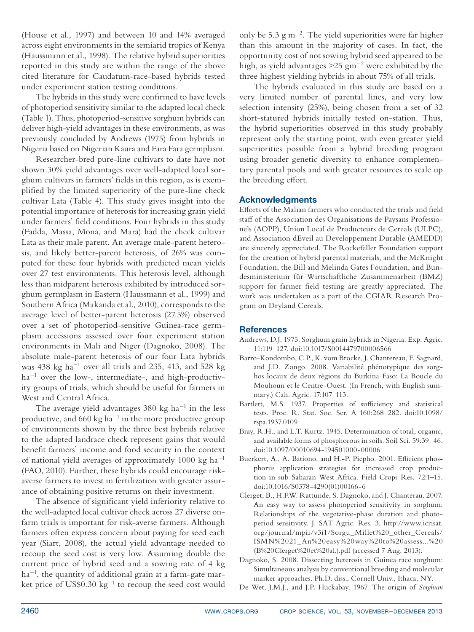(House et al., 1997) and between 10 and 14% averaged across eight environments in the semiarid tropics of Kenya (Haussmann et al., 1998). The relative hybrid superiorities reported in this study are within the range of the above cited literature for Caudatum-race-based hybrids tested under experiment station testing conditions.

The hybrids in this study were confirmed to have levels of photoperiod sensitivity similar to the adapted local check (Table 1). Thus, photoperiod-sensitive sorghum hybrids can deliver high-yield advantages in these environments, as was previously concluded by Andrews (1975) from hybrids in Nigeria based on Nigerian Kaura and Fara Fara germplasm.

Researcher-bred pure-line cultivars to date have not shown 30% yield advantages over well-adapted local sorghum cultivars in farmers' fields in this region, as is exemplified by the limited superiority of the pure-line check cultivar Lata (Table 4). This study gives insight into the potential importance of heterosis for increasing grain yield under farmers' field conditions. Four hybrids in this study (Fadda, Massa, Mona, and Mara) had the check cultivar Lata as their male parent. An average male-parent heterosis, and likely better-parent heterosis, of 26% was computed for these four hybrids with predicted mean yields over 27 test environments. This heterosis level, although less than midparent heterosis exhibited by introduced sorghum germplasm in Eastern (Haussmann et al., 1999) and Southern Africa (Makanda et al., 2010), corresponds to the average level of better-parent heterosis (27.5%) observed over a set of photoperiod-sensitive Guinea-race germplasm accessions assessed over four experiment station environments in Mali and Niger (Dagnoko, 2008). The absolute male-parent heterosis of our four Lata hybrids was  $438 \text{ kg} \text{ ha}^{-1}$  over all trials and  $235$ ,  $413$ , and  $528 \text{ kg}$ ha<sup>-1</sup> over the low-, intermediate-, and high-productivity groups of trials, which should be useful for farmers in West and Central Africa.

The average yield advantages  $380 \text{ kg}$  ha<sup>-1</sup> in the less productive, and  $660 \text{ kg ha}^{-1}$  in the more productive group of environments shown by the three best hybrids relative to the adapted landrace check represent gains that would benefit farmers' income and food security in the context of national yield averages of approximately  $1000 \text{ kg ha}^{-1}$ (FAO, 2010). Further, these hybrids could encourage riskaverse farmers to invest in fertilization with greater assurance of obtaining positive returns on their investment.

The absence of significant yield inferiority relative to the well-adapted local cultivar check across 27 diverse onfarm trials is important for risk-averse farmers. Although farmers often express concern about paying for seed each year (Siart, 2008), the actual yield advantage needed to recoup the seed cost is very low. Assuming double the current price of hybrid seed and a sowing rate of 4 kg ha-<sup>1</sup> , the quantity of additional grain at a farm-gate market price of  $US$0.30 kg<sup>-1</sup>$  to recoup the seed cost would only be  $5.3 \text{ g m}^{-2}$ . The yield superiorities were far higher than this amount in the majority of cases. In fact, the opportunity cost of not sowing hybrid seed appeared to be high, as yield advantages >25 gm-<sup>2</sup> were exhibited by the three highest yielding hybrids in about 75% of all trials.

The hybrids evaluated in this study are based on a very limited number of parental lines, and very low selection intensity (25%), being chosen from a set of 32 short-statured hybrids initially tested on-station. Thus, the hybrid superiorities observed in this study probably represent only the starting point, with even greater yield superiorities possible from a hybrid breeding program using broader genetic diversity to enhance complementary parental pools and with greater resources to scale up the breeding effort.

#### Acknowledgments

Efforts of the Malian farmers who conducted the trials and field staff of the Association des Organisations de Paysans Professionels (AOPP), Union Local de Producteurs de Cereals (ULPC), and Association dEveil au Developpement Durable (AMEDD) are sincerely appreciated. The Rockefeller Foundation support for the creation of hybrid parental materials, and the McKnight Foundation, the Bill and Melinda Gates Foundation, and Bundesministerium für Wirtschaftliche Zusammenarbeit (BMZ) support for farmer field testing are greatly appreciated. The work was undertaken as a part of the CGIAR Research Program on Dryland Cereals.

#### **References**

- Andrews, D.J. 1975. Sorghum grain hybrids in Nigeria. Exp. Agric. 11:119–127. [doi:10.1017/S0014479700006566](http://dx.doi.org/10.1017/S0014479700006566)
- Barro-Kondombo, C.P., K. vom Brocke, J. Chantereau, F. Sagnard, and J.D. Zongo. 2008. Variabilité phénotypique des sorghos locaux de deux régions du Burkina-Faso: La Boucle du Mouhoun et le Centre-Ouest. (In French, with English summary.) Cah. Agric. 17:107–113.
- Bartlett, M.S. 1937. Properties of sufficiency and statistical tests. Proc. R. Stat. Soc. Ser. A 160:268–282. [doi:10.1098/](http://dx.doi.org/10.1098/rspa.1937.0109) [rspa.1937.0109](http://dx.doi.org/10.1098/rspa.1937.0109)
- Bray, R.H., and L.T. Kurtz. 1945. Determination of total, organic, and available forms of phosphorous in soils. Soil Sci. 59:39–46. [doi:10.1097/00010694-194501000-00006](http://dx.doi.org/10.1097/00010694-194501000-00006)
- Buerkert, A., A. Bationo, and H.-P. Piepho. 2001. Efficient phosphorus application strategies for increased crop production in sub-Saharan West Africa. Field Crops Res. 72:1–15. [doi:10.1016/S0378-4290\(01\)00166-6](http://dx.doi.org/10.1016/S0378-4290(01)00166-6)
- Clerget, B., H.F.W. Rattunde, S. Dagnoko, and J. Chanterau. 2007. An easy way to assess photoperiod sensitivity in sorghum: Relationships of the vegetative-phase duration and photoperiod sensitivity. J. SAT Agric. Res. 3. http://www.icrisat. org/journal/mpii/v3i1/Sorgu\_Millet%20\_other\_Cereals/ ISMN%2021\_An%20easy%20way%20to%20assess...%20 (B%20Clerget%20et%20al.).pdf (accessed 7 Aug. 2013).
- Dagnoko, S. 2008. Dissecting heterosis in Guinea race sorghum: Simultaneous analysis by conventional breeding and molecular marker approaches. Ph.D. diss., Cornell Univ., Ithaca, NY.
- De Wet, J.M.J., and J.P. Huckabay. 1967. The origin of *Sorghum*